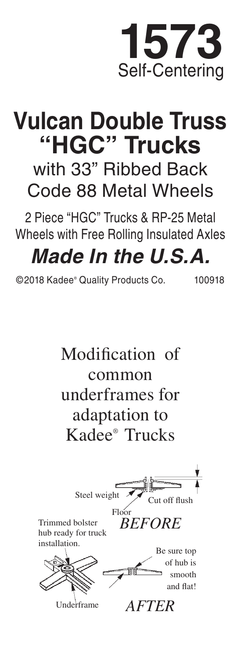

## **Vulcan Double Truss "HGC" Trucks** with 33" Ribbed Back

Code 88 Metal Wheels

2 Piece "HGC" Trucks & RP-25 Metal Wheels with Free Rolling Insulated Axles

## *Made In the U.S.A.*

©2018 Kadee® Quality Products Co. 100918

Modification of common underframes for adaptation to Kadee® Trucks